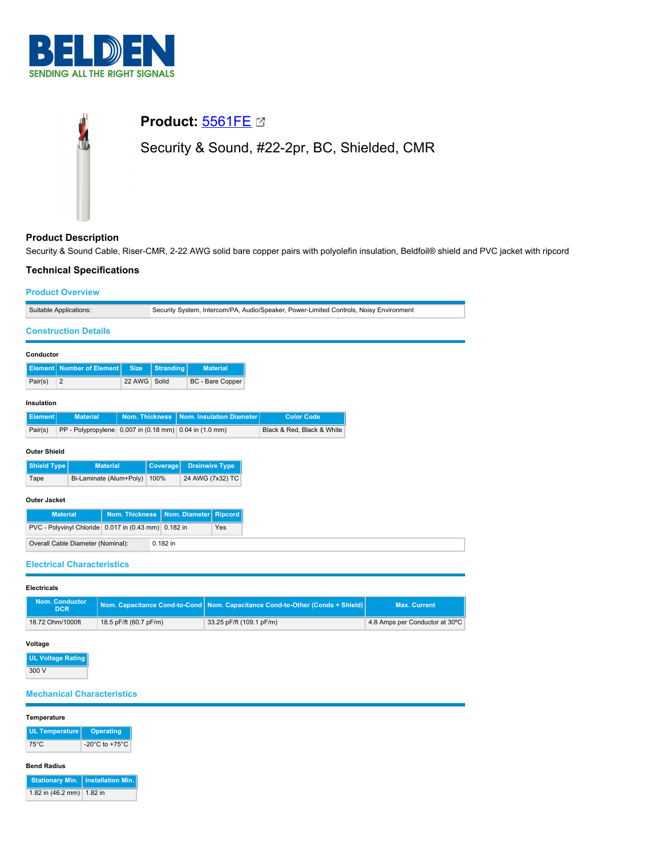

# **Product:** [5561FE](https://catalog.belden.com/index.cfm?event=pd&p=PF_5561FE&tab=downloads) Security & Sound, #22-2pr, BC, Shielded, CMR

# **Product Description**

Security & Sound Cable, Riser-CMR, 2-22 AWG solid bare copper pairs with polyolefin insulation, Beldfoil® shield and PVC jacket with ripcord

## **Technical Specifications**

#### **Product Overview**

| Suitable Applications:                                      |                                                        |                       | Security System, Intercom/PA, Audio/Speaker, Power-Limited Controls, Noisy Environment |                          |                  |  |                            |  |  |
|-------------------------------------------------------------|--------------------------------------------------------|-----------------------|----------------------------------------------------------------------------------------|--------------------------|------------------|--|----------------------------|--|--|
| <b>Construction Details</b>                                 |                                                        |                       |                                                                                        |                          |                  |  |                            |  |  |
| Conductor                                                   |                                                        |                       |                                                                                        |                          |                  |  |                            |  |  |
| <b>Element</b>                                              | <b>Number of Element</b>                               | <b>Size</b>           | <b>Stranding</b>                                                                       |                          | <b>Material</b>  |  |                            |  |  |
| $\overline{2}$<br>Pair(s)                                   |                                                        | 22 AWG                | Solid                                                                                  |                          | BC - Bare Copper |  |                            |  |  |
| Insulation                                                  |                                                        |                       |                                                                                        |                          |                  |  |                            |  |  |
| <b>Element</b>                                              | <b>Material</b>                                        | <b>Nom. Thickness</b> |                                                                                        | Nom. Insulation Diameter |                  |  | <b>Color Code</b>          |  |  |
| Pair(s)                                                     | PP - Polypropylene 0.007 in (0.18 mm) 0.04 in (1.0 mm) |                       |                                                                                        |                          |                  |  | Black & Red, Black & White |  |  |
| <b>Outer Shield</b>                                         |                                                        |                       |                                                                                        |                          |                  |  |                            |  |  |
| Shield Type                                                 | <b>Material</b>                                        |                       | Coverage                                                                               | <b>Drainwire Type</b>    |                  |  |                            |  |  |
| Tape                                                        | Bi-Laminate (Alum+Poly)<br>100%                        |                       | 24 AWG (7x32) TC                                                                       |                          |                  |  |                            |  |  |
| <b>Outer Jacket</b>                                         |                                                        |                       |                                                                                        |                          |                  |  |                            |  |  |
| <b>Material</b>                                             |                                                        | <b>Nom. Thickness</b> |                                                                                        | Nom. Diameter            | <b>Ripcord</b>   |  |                            |  |  |
| PVC - Polyvinyl Chloride 0.017 in (0.43 mm) 0.182 in<br>Yes |                                                        |                       |                                                                                        |                          |                  |  |                            |  |  |
| Overall Cable Diameter (Nominal):<br>0.182 in               |                                                        |                       |                                                                                        |                          |                  |  |                            |  |  |
| .                                                           |                                                        |                       |                                                                                        |                          |                  |  |                            |  |  |

## **Electrical Characteristics**

| <b>Electricals</b> |
|--------------------|
|--------------------|

| <b>Nom. Conductor</b><br><b>DCR</b> |                        | Nom. Capacitance Cond-to-Cond   Nom. Capacitance Cond-to-Other (Conds + Shield) | <b>Max. Current</b>            |
|-------------------------------------|------------------------|---------------------------------------------------------------------------------|--------------------------------|
| 18.72 Ohm/1000ft                    | 18.5 pF/ft (60.7 pF/m) | 33.25 pF/ft (109.1 pF/m)                                                        | 4.8 Amps per Conductor at 30°C |

#### **Voltage**

**UL Voltage Rating** 300 V

## **Mechanical Characteristics**

#### **Temperature**

| UL Temperature   Operating |                                      |
|----------------------------|--------------------------------------|
| 75°C                       | -20 $^{\circ}$ C to +75 $^{\circ}$ C |

## **Bend Radius**

|                           | Stationary Min.   Installation Min. |
|---------------------------|-------------------------------------|
| 1.82 in (46.2 mm) 1.82 in |                                     |